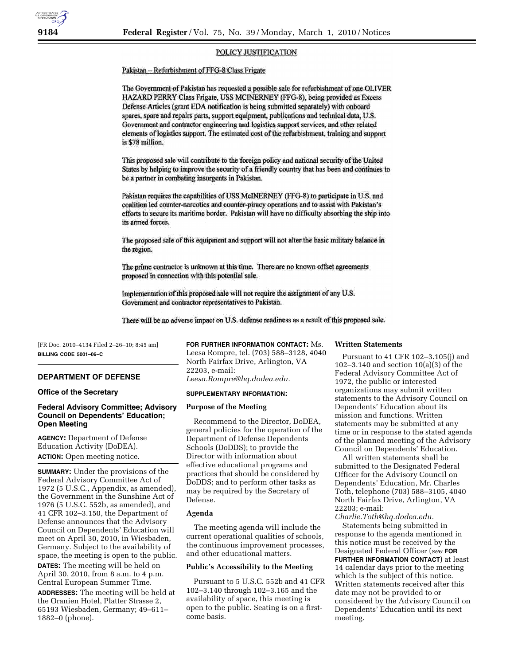## POLICY JUSTIFICATION

# Pakistan - Refurbishment of FFG-8 Class Frigate

The Government of Pakistan has requested a possible sale for refurbishment of one OLIVER HAZARD PERRY Class Frigate, USS MCINERNEY (FFG-8), being provided as Excess Defense Articles (grant EDA notification is being submitted separately) with onboard spares, spare and repairs parts, support equipment, publications and technical data, U.S. Government and contractor engineering and logistics support services, and other related elements of logistics support. The estimated cost of the refurbishment, training and support is \$78 million.

This proposed sale will contribute to the foreign policy and national security of the United States by helping to improve the security of a friendly country that has been and continues to be a partner in combating insurgents in Pakistan.

Pakistan requires the capabilities of USS McINERNEY (FFG-8) to participate in U.S. and coalition led counter-narcotics and counter-piracy operations and to assist with Pakistan's efforts to secure its maritime border. Pakistan will have no difficulty absorbing the ship into its armed forces.

The proposed sale of this equipment and support will not alter the basic military balance in the region.

The prime contractor is unknown at this time. There are no known offset agreements proposed in connection with this potential sale.

Implementation of this proposed sale will not require the assignment of any U.S. Government and contractor representatives to Pakistan.

There will be no adverse impact on U.S. defense readiness as a result of this proposed sale.

[FR Doc. 2010–4134 Filed 2–26–10; 8:45 am] **BILLING CODE 5001–06–C** 

#### **DEPARTMENT OF DEFENSE**

# **Office of the Secretary**

# **Federal Advisory Committee; Advisory Council on Dependents' Education; Open Meeting**

**AGENCY:** Department of Defense Education Activity (DoDEA). **ACTION:** Open meeting notice.

**SUMMARY:** Under the provisions of the Federal Advisory Committee Act of 1972 (5 U.S.C., Appendix, as amended), the Government in the Sunshine Act of 1976 (5 U.S.C. 552b, as amended), and 41 CFR 102–3.150, the Department of Defense announces that the Advisory Council on Dependents' Education will meet on April 30, 2010, in Wiesbaden, Germany. Subject to the availability of space, the meeting is open to the public. **DATES:** The meeting will be held on April 30, 2010, from 8 a.m. to 4 p.m. Central European Summer Time.

**ADDRESSES:** The meeting will be held at the Oranien Hotel, Platter Strasse 2, 65193 Wiesbaden, Germany; 49–611– 1882–0 (phone).

**FOR FURTHER INFORMATION CONTACT:** Ms. Leesa Rompre, tel. (703) 588–3128, 4040 North Fairfax Drive, Arlington, VA 22203, e-mail: *Leesa.Rompre@hq.dodea.edu.* 

### **SUPPLEMENTARY INFORMATION:**

#### **Purpose of the Meeting**

Recommend to the Director, DoDEA, general policies for the operation of the Department of Defense Dependents Schools (DoDDS); to provide the Director with information about effective educational programs and practices that should be considered by DoDDS; and to perform other tasks as may be required by the Secretary of Defense.

# **Agenda**

The meeting agenda will include the current operational qualities of schools, the continuous improvement processes, and other educational matters.

## **Public's Accessibility to the Meeting**

Pursuant to 5 U.S.C. 552b and 41 CFR 102–3.140 through 102–3.165 and the availability of space, this meeting is open to the public. Seating is on a firstcome basis.

## **Written Statements**

Pursuant to 41 CFR 102–3.105(j) and 102–3.140 and section 10(a)(3) of the Federal Advisory Committee Act of 1972, the public or interested organizations may submit written statements to the Advisory Council on Dependents' Education about its mission and functions. Written statements may be submitted at any time or in response to the stated agenda of the planned meeting of the Advisory Council on Dependents' Education.

All written statements shall be submitted to the Designated Federal Officer for the Advisory Council on Dependents' Education, Mr. Charles Toth, telephone (703) 588–3105, 4040 North Fairfax Drive, Arlington, VA 22203; e-mail:

*Charlie.Toth@hq.dodea.edu.* 

Statements being submitted in response to the agenda mentioned in this notice must be received by the Designated Federal Officer (*see* **FOR FURTHER INFORMATION CONTACT**) at least 14 calendar days prior to the meeting which is the subject of this notice. Written statements received after this date may not be provided to or considered by the Advisory Council on Dependents' Education until its next meeting.